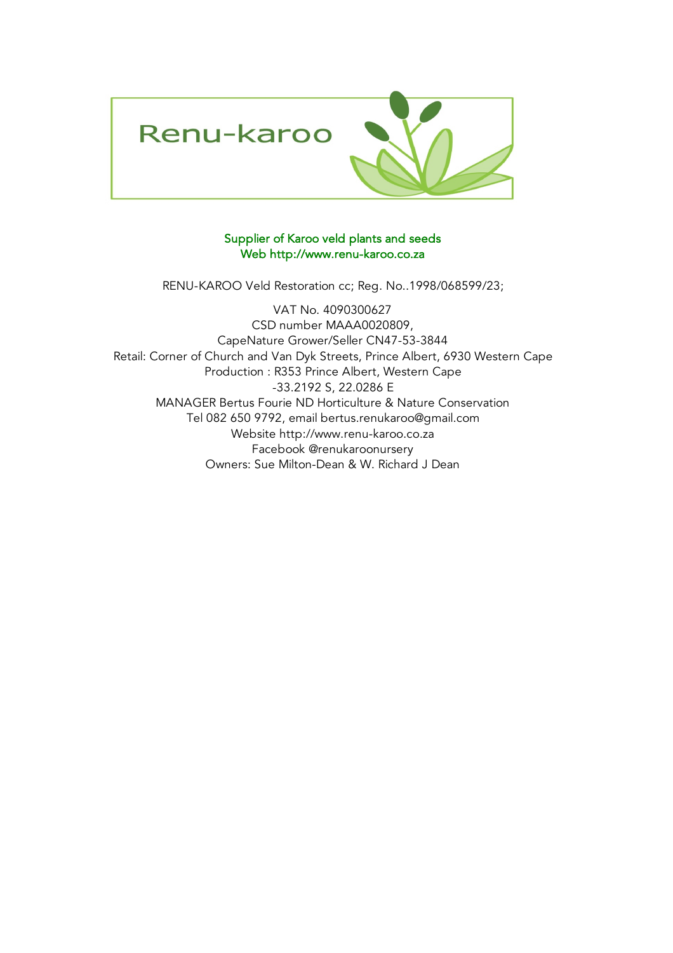

## Supplier of Karoo veld plants and seeds Web http://www.renu-karoo.co.za

RENU-KAROO Veld Restoration cc; Reg. No..1998/068599/23;

Owners: Sue Milton-Dean & W. Richard J Dean Production : R353 Prince Albert, Western Cape -33.2192 S, 22.0286 E Facebook @renukaroonursery VAT No. 4090300627 CapeNature Grower/Seller CN47-53-3844 CSD number MAAA0020809, Retail: Corner of Church and Van Dyk Streets, Prince Albert, 6930 Western Cape MANAGER Bertus Fourie ND Horticulture & Nature Conservation Tel 082 650 9792, email bertus.renukaroo@gmail.com Website http://www.renu-karoo.co.za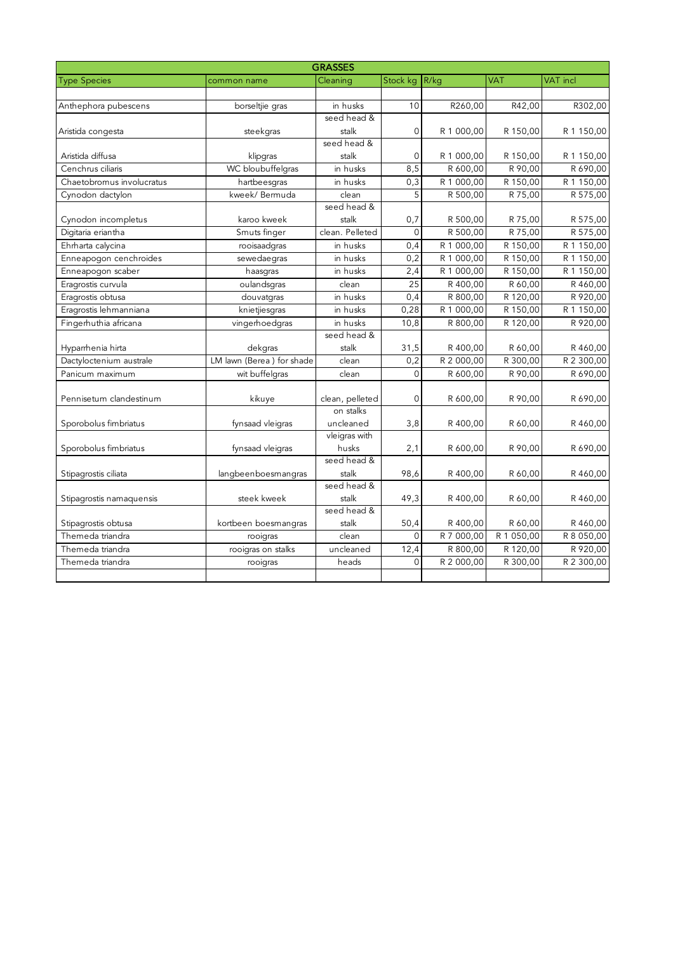| <b>GRASSES</b>            |                           |                              |             |            |            |            |  |  |  |  |
|---------------------------|---------------------------|------------------------------|-------------|------------|------------|------------|--|--|--|--|
| <b>Type Species</b>       | common name               | Cleaning                     | Stock kg    | R/kg       | <b>VAT</b> | VAT incl   |  |  |  |  |
|                           |                           |                              |             |            |            |            |  |  |  |  |
| Anthephora pubescens      | borseltjie gras           | in husks                     | 10          | R260,00    | R42,00     | R302,00    |  |  |  |  |
|                           |                           | seed head &                  |             |            |            |            |  |  |  |  |
| Aristida congesta         | steekgras                 | stalk                        | 0           | R 1 000,00 | R 150,00   | R 1 150,00 |  |  |  |  |
|                           |                           | seed head &                  |             |            |            |            |  |  |  |  |
| Aristida diffusa          | klipgras                  | stalk                        | $\mathbf 0$ | R 1 000,00 | R 150,00   | R 1 150,00 |  |  |  |  |
| Cenchrus ciliaris         | WC bloubuffelgras         | in husks                     | 8,5         | R 600,00   | R 90,00    | R 690,00   |  |  |  |  |
| Chaetobromus involucratus | hartbeesgras              | in husks                     | 0,3         | R 1 000,00 | R 150,00   | R 1 150,00 |  |  |  |  |
| Cynodon dactylon          | kweek/ Bermuda            | clean                        | 5           | R 500,00   | R 75,00    | R 575,00   |  |  |  |  |
|                           |                           | seed head &                  |             |            |            |            |  |  |  |  |
| Cynodon incompletus       | karoo kweek               | stalk                        | 0,7         | R 500,00   | R 75,00    | R 575,00   |  |  |  |  |
| Digitaria eriantha        | Smuts finger              | clean. Pelleted              | $\Omega$    | R 500,00   | R 75,00    | R 575,00   |  |  |  |  |
| Ehrharta calycina         | rooisaadgras              | in husks                     | 0,4         | R 1 000,00 | R 150,00   | R 1 150,00 |  |  |  |  |
| Enneapogon cenchroides    | sewedaegras               | in husks                     | 0,2         | R 1 000,00 | R 150,00   | R 1 150,00 |  |  |  |  |
| Enneapogon scaber         | haasgras                  | in husks                     | 2,4         | R 1 000,00 | R 150,00   | R 1 150,00 |  |  |  |  |
| Eragrostis curvula        | oulandsgras               | clean                        | 25          | R 400,00   | R 60,00    | R 460,00   |  |  |  |  |
| Eragrostis obtusa         | douvatgras                | in husks                     | 0,4         | R 800,00   | R 120,00   | R 920,00   |  |  |  |  |
| Eragrostis lehmanniana    | knietjiesgras             | in husks                     | 0,28        | R 1 000,00 | R 150,00   | R 1 150,00 |  |  |  |  |
| Fingerhuthia africana     | vingerhoedgras            | in husks                     | 10,8        | R 800,00   | R 120,00   | R 920,00   |  |  |  |  |
|                           |                           | seed head &                  |             |            |            |            |  |  |  |  |
| Hyparrhenia hirta         | dekgras                   | stalk                        | 31,5        | R 400,00   | R 60,00    | R460,00    |  |  |  |  |
| Dactyloctenium australe   | LM lawn (Berea) for shade | clean                        | 0,2         | R 2 000,00 | R 300,00   | R 2 300,00 |  |  |  |  |
| Panicum maximum           | wit buffelgras            | clean                        | $\Omega$    | R 600.00   | R 90.00    | R 690,00   |  |  |  |  |
|                           |                           |                              |             |            |            |            |  |  |  |  |
| Pennisetum clandestinum   | kikuye                    | clean, pelleted<br>on stalks | $\Omega$    | R 600,00   | R 90,00    | R 690,00   |  |  |  |  |
|                           |                           |                              |             |            |            |            |  |  |  |  |
| Sporobolus fimbriatus     | fynsaad vleigras          | uncleaned<br>vleigras with   | 3,8         | R 400,00   | R 60,00    | R460,00    |  |  |  |  |
| Sporobolus fimbriatus     | fynsaad vleigras          | husks                        | 2,1         | R 600,00   | R 90,00    | R 690,00   |  |  |  |  |
|                           |                           | seed head &                  |             |            |            |            |  |  |  |  |
| Stipagrostis ciliata      | langbeenboesmangras       | stalk                        | 98,6        | R 400,00   | R 60,00    | R 460,00   |  |  |  |  |
|                           |                           | seed head &                  |             |            |            |            |  |  |  |  |
| Stipagrostis namaquensis  | steek kweek               | stalk                        | 49,3        | R 400,00   | R 60,00    | R 460,00   |  |  |  |  |
|                           |                           | seed head &                  |             |            |            |            |  |  |  |  |
| Stipagrostis obtusa       | kortbeen boesmangras      | stalk                        | 50,4        | R 400,00   | R 60,00    | R 460,00   |  |  |  |  |
| Themeda triandra          | rooigras                  | clean                        | 0           | R 7 000,00 | R 1 050,00 | R 8 050,00 |  |  |  |  |
| Themeda triandra          | rooigras on stalks        | uncleaned                    | 12,4        | R 800,00   | R 120,00   | R 920,00   |  |  |  |  |
| Themeda triandra          | rooigras                  | heads                        | $\Omega$    | R 2 000,00 | R 300,00   | R 2 300,00 |  |  |  |  |
|                           |                           |                              |             |            |            |            |  |  |  |  |
|                           |                           |                              |             |            |            |            |  |  |  |  |